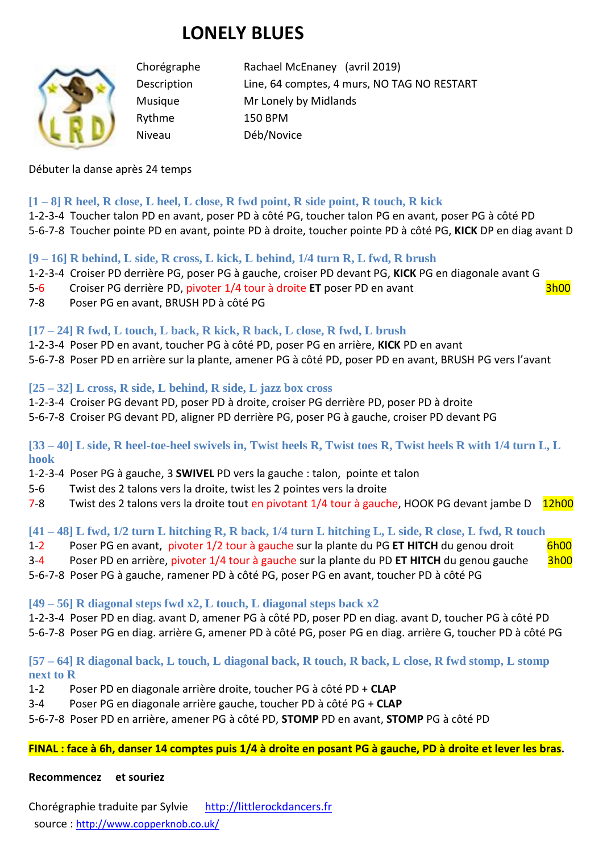# **LONELY BLUES**



Chorégraphe Rachael McEnaney (avril 2019) Description Line, 64 comptes, 4 murs, NO TAG NO RESTART Musique Mr Lonely by Midlands Rythme 150 BPM Niveau Déb/Novice

### Débuter la danse après 24 temps

#### **[1 – 8] R heel, R close, L heel, L close, R fwd point, R side point, R touch, R kick**

1-2-3-4 Toucher talon PD en avant, poser PD à côté PG, toucher talon PG en avant, poser PG à côté PD 5-6-7-8 Toucher pointe PD en avant, pointe PD à droite, toucher pointe PD à côté PG, **KICK** DP en diag avant D

#### **[9 – 16] R behind, L side, R cross, L kick, L behind, 1/4 turn R, L fwd, R brush**

- 1-2-3-4 Croiser PD derrière PG, poser PG à gauche, croiser PD devant PG, **KICK** PG en diagonale avant G
- 5-6 Croiser PG derrière PD, pivoter 1/4 tour à droite **ET** poser PD en avant

7-8 Poser PG en avant, BRUSH PD à côté PG

# **[17 – 24] R fwd, L touch, L back, R kick, R back, L close, R fwd, L brush**

1-2-3-4 Poser PD en avant, toucher PG à côté PD, poser PG en arrière, **KICK** PD en avant 5-6-7-8 Poser PD en arrière sur la plante, amener PG à côté PD, poser PD en avant, BRUSH PG vers l'avant

## **[25 – 32] L cross, R side, L behind, R side, L jazz box cross**

1-2-3-4 Croiser PG devant PD, poser PD à droite, croiser PG derrière PD, poser PD à droite

5-6-7-8 Croiser PG devant PD, aligner PD derrière PG, poser PG à gauche, croiser PD devant PG

**[33 – 40] L side, R heel-toe-heel swivels in, Twist heels R, Twist toes R, Twist heels R with 1/4 turn L, L hook**

- 1-2-3-4 Poser PG à gauche, 3 **SWIVEL** PD vers la gauche : talon, pointe et talon
- 5-6 Twist des 2 talons vers la droite, twist les 2 pointes vers la droite
- 7-8 Twist des 2 talons vers la droite tout en pivotant 1/4 tour à gauche, HOOK PG devant jambe D 12h00

## **[41 – 48] L fwd, 1/2 turn L hitching R, R back, 1/4 turn L hitching L, L side, R close, L fwd, R touch**

- 1-2 Poser PG en avant, pivoter 1/2 tour à gauche sur la plante du PG ET HITCH du genou droit 6h00
- 3-4 Poser PD en arrière, pivoter 1/4 tour à gauche sur la plante du PD **ET HITCH** du genou gauche 3h00

5-6-7-8 Poser PG à gauche, ramener PD à côté PG, poser PG en avant, toucher PD à côté PG

## **[49 – 56] R diagonal steps fwd x2, L touch, L diagonal steps back x2**

1-2-3-4 Poser PD en diag. avant D, amener PG à côté PD, poser PD en diag. avant D, toucher PG à côté PD 5-6-7-8 Poser PG en diag. arrière G, amener PD à côté PG, poser PG en diag. arrière G, toucher PD à côté PG

# **[57 – 64] R diagonal back, L touch, L diagonal back, R touch, R back, L close, R fwd stomp, L stomp next to R**

- 1-2 Poser PD en diagonale arrière droite, toucher PG à côté PD + **CLAP**
- 3-4 Poser PG en diagonale arrière gauche, toucher PD à côté PG + **CLAP**

#### 5-6-7-8 Poser PD en arrière, amener PG à côté PD, **STOMP** PD en avant, **STOMP** PG à côté PD

## **FINAL : face à 6h, danser 14 comptes puis 1/4 à droite en posant PG à gauche, PD à droite et lever les bras.**

#### **Recommencez et souriez**

Chorégraphie traduite par Sylvie [http://littlerockdancers.fr](http://littlerockdancers.fr/)  source : [http://www.copperknob.co.uk/](https://www.copperknob.co.uk/)